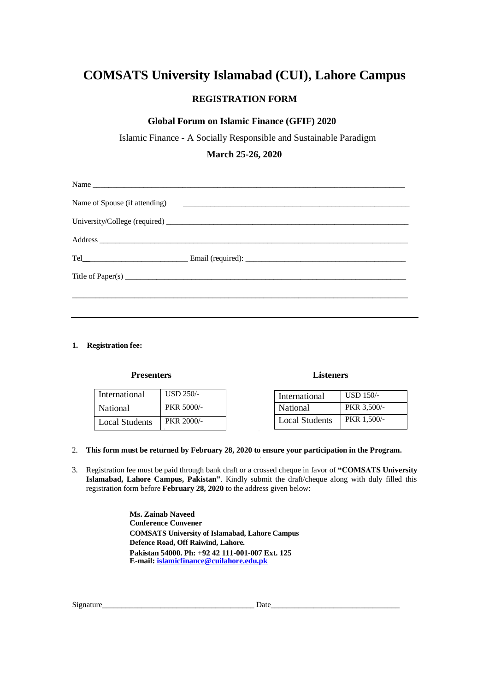# **COMSATS University Islamabad (CUI), Lahore Campus**

## **REGISTRATION FORM**

### **Global Forum on Islamic Finance (GFIF) 2020**

Islamic Finance - A Socially Responsible and Sustainable Paradigm

**March 25-26, 2020**

| Name                          |  |
|-------------------------------|--|
| Name of Spouse (if attending) |  |
|                               |  |
|                               |  |
|                               |  |
|                               |  |
|                               |  |
|                               |  |

#### **1. Registration fee:**

#### **Presenters**

| International  | $USD 250/-$       |
|----------------|-------------------|
| National       | <b>PKR 5000/-</b> |
| Local Students | PKR 2000/-        |

#### **Listeners**

| International         | $USD$ 150/- |
|-----------------------|-------------|
| National              | PKR 3,500/- |
| <b>Local Students</b> | PKR 1.500/- |

#### 2. **This form must be returned by February 28, 2020 to ensure your participation in the Program.**

3. Registration fee must be paid through bank draft or a crossed cheque in favor of **"COMSATS University Islamabad, Lahore Campus, Pakistan"**. Kindly submit the draft/cheque along with duly filled this registration form before **February 28, 2020** to the address given below:

> **Ms. Zainab Naveed Conference Convener COMSATS University of Islamabad, Lahore Campus Defence Road, Off Raiwind, Lahore. Pakistan 54000. Ph: +92 42 111-001-007 Ext. 125 E-mail: islamicfinance@cuilahore.edu.pk**

Signature\_\_\_\_\_\_\_\_\_\_\_\_\_\_\_\_\_\_\_\_\_\_\_\_\_\_\_\_\_\_\_\_\_\_\_\_\_\_\_ Date\_\_\_\_\_\_\_\_\_\_\_\_\_\_\_\_\_\_\_\_\_\_\_\_\_\_\_\_\_\_\_\_\_